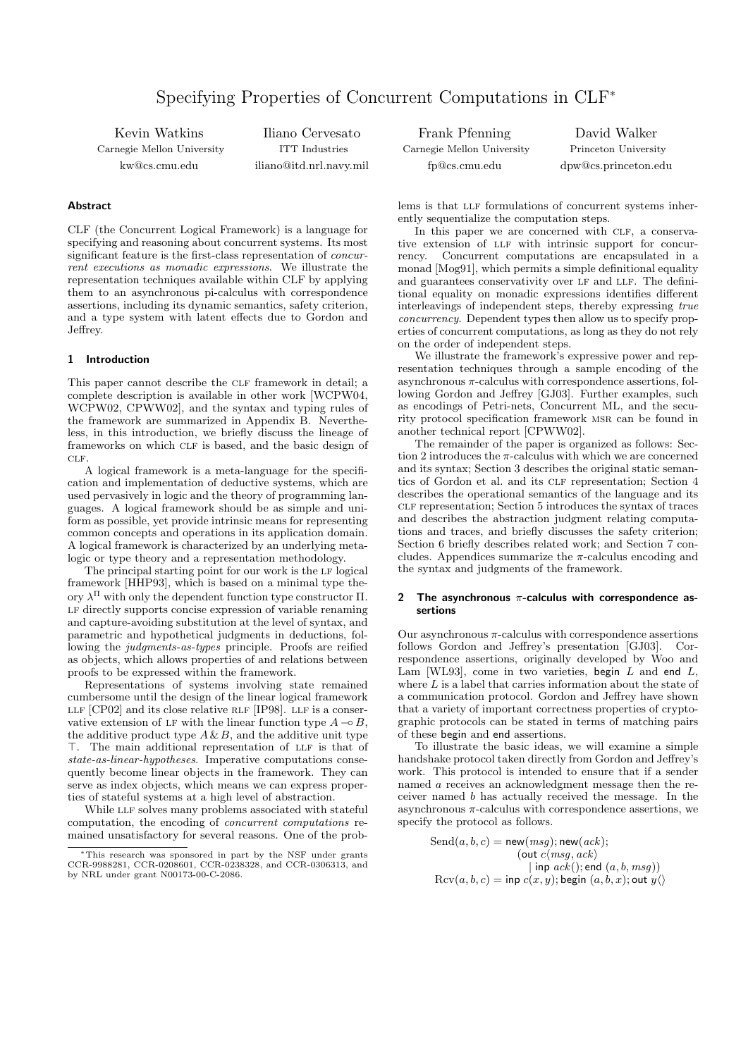# Specifying Properties of Concurrent Computations in CLF<sup>∗</sup>

Kevin Watkins Carnegie Mellon University kw@cs.cmu.edu

Iliano Cervesato ITT Industries iliano@itd.nrl.navy.mil

# **Abstract**

CLF (the Concurrent Logical Framework) is a language for specifying and reasoning about concurrent systems. Its most significant feature is the first-class representation of concurrent executions as monadic expressions. We illustrate the representation techniques available within CLF by applying them to an asynchronous pi-calculus with correspondence assertions, including its dynamic semantics, safety criterion, and a type system with latent effects due to Gordon and Jeffrey.

#### 1 Introduction

This paper cannot describe the CLF framework in detail; a complete description is available in other work [WCPW04, WCPW02, CPWW02], and the syntax and typing rules of the framework are summarized in Appendix B. Nevertheless, in this introduction, we briefly discuss the lineage of frameworks on which CLF is based, and the basic design of CLF.

A logical framework is a meta-language for the specification and implementation of deductive systems, which are used pervasively in logic and the theory of programming languages. A logical framework should be as simple and uniform as possible, yet provide intrinsic means for representing common concepts and operations in its application domain. A logical framework is characterized by an underlying metalogic or type theory and a representation methodology.

The principal starting point for our work is the LF logical framework [HHP93], which is based on a minimal type theory  $\lambda^{\Pi}$  with only the dependent function type constructor  $\Pi$ . LF directly supports concise expression of variable renaming and capture-avoiding substitution at the level of syntax, and parametric and hypothetical judgments in deductions, following the judgments-as-types principle. Proofs are reified as objects, which allows properties of and relations between proofs to be expressed within the framework.

Representations of systems involving state remained cumbersome until the design of the linear logical framework LLF  $[CP02]$  and its close relative RLF  $[IP98]$ . LLF is a conservative extension of LF with the linear function type  $A \rightarrow B$ , the additive product type  $A \& B$ , and the additive unit type >. The main additional representation of llf is that of state-as-linear-hypotheses. Imperative computations consequently become linear objects in the framework. They can serve as index objects, which means we can express properties of stateful systems at a high level of abstraction.

While LLF solves many problems associated with stateful computation, the encoding of concurrent computations remained unsatisfactory for several reasons. One of the prob-

Frank Pfenning Carnegie Mellon University fp@cs.cmu.edu

David Walker Princeton University dpw@cs.princeton.edu

lems is that LLF formulations of concurrent systems inherently sequentialize the computation steps.

In this paper we are concerned with CLF, a conservative extension of LLF with intrinsic support for concurrency. Concurrent computations are encapsulated in a monad [Mog91], which permits a simple definitional equality and guarantees conservativity over LF and LLF. The definitional equality on monadic expressions identifies different interleavings of independent steps, thereby expressing true concurrency. Dependent types then allow us to specify properties of concurrent computations, as long as they do not rely on the order of independent steps.

We illustrate the framework's expressive power and representation techniques through a sample encoding of the asynchronous  $\pi$ -calculus with correspondence assertions, following Gordon and Jeffrey [GJ03]. Further examples, such as encodings of Petri-nets, Concurrent ML, and the security protocol specification framework msr can be found in another technical report [CPWW02].

The remainder of the paper is organized as follows: Section 2 introduces the  $\pi$ -calculus with which we are concerned and its syntax; Section 3 describes the original static semantics of Gordon et al. and its CLF representation; Section 4 describes the operational semantics of the language and its clf representation; Section 5 introduces the syntax of traces and describes the abstraction judgment relating computations and traces, and briefly discusses the safety criterion; Section 6 briefly describes related work; and Section 7 concludes. Appendices summarize the  $\pi$ -calculus encoding and the syntax and judgments of the framework.

#### 2 The asynchronous  $\pi$ -calculus with correspondence assertions

Our asynchronous  $\pi$ -calculus with correspondence assertions follows Gordon and Jeffrey's presentation [GJ03]. Correspondence assertions, originally developed by Woo and Lam [WL93], come in two varieties, begin  $L$  and end  $L$ , where  $L$  is a label that carries information about the state of a communication protocol. Gordon and Jeffrey have shown that a variety of important correctness properties of cryptographic protocols can be stated in terms of matching pairs of these begin and end assertions.

To illustrate the basic ideas, we will examine a simple handshake protocol taken directly from Gordon and Jeffrey's work. This protocol is intended to ensure that if a sender named a receives an acknowledgment message then the receiver named b has actually received the message. In the asynchronous  $\pi$ -calculus with correspondence assertions, we specify the protocol as follows.

$$
\text{Send}(a, b, c) = \text{new}(\textit{msg}); \text{new}(\textit{ack}); \\ (\text{out } c(\textit{msg}, \textit{ack}) \\ |\text{ inp } \textit{ack}(); \text{end } (a, b, \textit{msg})) \\ \text{Rcv}(a, b, c) = \text{inp } c(x, y); \text{begin } (a, b, x); \text{out } y \langle \rangle
$$

This research was sponsored in part by the NSF under grants CCR-9988281, CCR-0208601, CCR-0238328, and CCR-0306313, and by NRL under grant N00173-00-C-2086.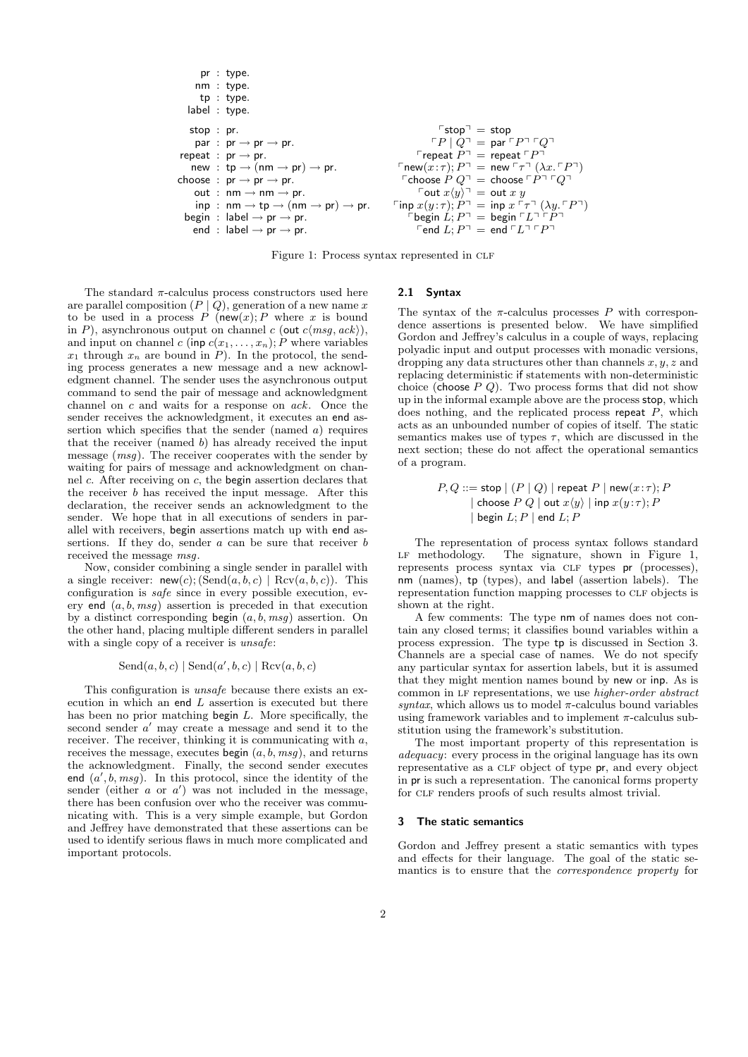$$
\begin{array}{lllllllllllll} & \hbox{pr : type.} \\ & \hbox{nm : type.} \\ & \hbox{tp : type.} \\ & \hbox{label : type.} \\ & \hbox{stop : pr.} \\ & \hbox{p : pr.} \\ & \hbox{rep : pr.} \\ & \hbox{rep : pr.} \\ & \hbox{rep : pr.} \\ & \hbox{rep : pr.} \\ & \hbox{rep : pr.} \\ & \hbox{rep : pr.} \\ & \hbox{rep : pr.} \\ & \hbox{rep : pr.} \\ & \hbox{rep : pr.} \\ & \hbox{rep : pr.} \\ & \hbox{rep : pr.} \\ & \hbox{rep : pr.} \\ & \hbox{rep : pr.} \\ & \hbox{rep : pr.} \\ & \hbox{rep : pr.} \\ & \hbox{rep : pr.} \\ & \hbox{rep : pr.} \\ & \hbox{rep : pr.} \\ & \hbox{rep : pr.} \\ & \hbox{rep : pr.} \\ & \hbox{rep : pr.} \\ & \hbox{rep : pl.} \\ & \hbox{rep : pl.} \\ & \hbox{rep : pl.} \\ & \hbox{rep : pl.} \\ & \hbox{rep : pl.} \\ & \hbox{rep : pl.} \\ & \hbox{rep : pl.} \\ & \hbox{rep : pl.} \\ & \hbox{rep : pl.} \\ & \hbox{rep : pl.} \\ & \hbox{rep : pl.} \\ & \hbox{rep : pl.} \\ & \hbox{rep : pl.} \\ & \hbox{rep : pl.} \\ & \hbox{rep : pl.} \\ & \hbox{rep : pl.} \\ & \hbox{rep : pl.} \\ & \hbox{rep : pl.} \\ & \hbox{rep : pl.} \\ & \hbox{rep : pl.} \\ & \hbox{rep : pl.} \\ & \hbox{rep : pl.} \\ & \hbox{rep : pl.} \\ & \hbox{rep : pl.} \\ & \hbox{rep : pl.} \\ & \hbox{rep : pl.} \\ & \hbox{rep : pl.} \\ & \hbox{rep : pl.} \\ & \hbox{rep : pl.} \\ & \hbox{rep : pl.} \\ & \hbox{rep : pl.} \\ & \hbox{rep : pl.} \\ & \hbox{rep : pl.} \\ & \hbox{rep : pl.} \\ & \hbox{rep : pl.} \\ & \hbox{rep : pl.} \\ & \hbox{rep : pl.} \\ & \hbox{rep : pl.} \\ & \hbox{rep : pl.} \\ & \hbox{rep : pl.} \\ & \hbox{rep : pl.}
$$

Figure 1: Process syntax represented in CLF

The standard  $\pi$ -calculus process constructors used here are parallel composition  $(P | Q)$ , generation of a new name x to be used in a process P (new(x); P where x is bound in P), asynchronous output on channel c (out  $c(msg, ack)$ ), and input on channel c (inp  $c(x_1, \ldots, x_n)$ ; P where variables  $x_1$  through  $x_n$  are bound in P). In the protocol, the sending process generates a new message and a new acknowledgment channel. The sender uses the asynchronous output command to send the pair of message and acknowledgment channel on c and waits for a response on ack. Once the sender receives the acknowledgment, it executes an end assertion which specifies that the sender (named  $a$ ) requires that the receiver (named b) has already received the input message (msg). The receiver cooperates with the sender by waiting for pairs of message and acknowledgment on channel  $c$ . After receiving on  $c$ , the **begin** assertion declares that the receiver b has received the input message. After this declaration, the receiver sends an acknowledgment to the sender. We hope that in all executions of senders in parallel with receivers, begin assertions match up with end assertions. If they do, sender  $a$  can be sure that receiver  $b$ received the message msg.

Now, consider combining a single sender in parallel with a single receiver:  $new(c)$ ; (Send $(a, b, c)$  | Rcv $(a, b, c)$ ). This configuration is safe since in every possible execution, every end  $(a, b, msg)$  assertion is preceded in that execution by a distinct corresponding begin  $(a, b, msg)$  assertion. On the other hand, placing multiple different senders in parallel with a single copy of a receiver is *unsafe*:

Send $(a, b, c)$  | Send $(a', b, c)$  | Rcv $(a, b, c)$ 

This configuration is unsafe because there exists an execution in which an end  $L$  assertion is executed but there has been no prior matching begin L. More specifically, the second sender a' may create a message and send it to the receiver. The receiver, thinking it is communicating with a, receives the message, executes begin  $(a, b, msg)$ , and returns the acknowledgment. Finally, the second sender executes end  $(a', b, msg)$ . In this protocol, since the identity of the sender (either  $a$  or  $a'$ ) was not included in the message, there has been confusion over who the receiver was communicating with. This is a very simple example, but Gordon and Jeffrey have demonstrated that these assertions can be used to identify serious flaws in much more complicated and important protocols.

#### 2.1 Syntax

The syntax of the  $\pi$ -calculus processes P with correspondence assertions is presented below. We have simplified Gordon and Jeffrey's calculus in a couple of ways, replacing polyadic input and output processes with monadic versions, dropping any data structures other than channels  $x, y, z$  and replacing deterministic if statements with non-deterministic choice (choose  $P(Q)$ ). Two process forms that did not show up in the informal example above are the process stop, which does nothing, and the replicated process repeat  $P$ , which acts as an unbounded number of copies of itself. The static semantics makes use of types  $\tau$ , which are discussed in the next section; these do not affect the operational semantics of a program.

> $P, Q ::=$  stop  $|(P | Q)|$  repeat  $P |$  new $(x : \tau); P$ | choose  $P \ Q$  | out  $x\langle y \rangle$  | inp  $x(y : \tau)$ ; P | begin  $L; P$  | end  $L; P$

The representation of process syntax follows standard LF methodology. The signature, shown in Figure 1, represents process syntax via CLF types pr (processes), nm (names), tp (types), and label (assertion labels). The representation function mapping processes to CLF objects is shown at the right.

A few comments: The type nm of names does not contain any closed terms; it classifies bound variables within a process expression. The type tp is discussed in Section 3. Channels are a special case of names. We do not specify any particular syntax for assertion labels, but it is assumed that they might mention names bound by new or inp. As is common in lf representations, we use higher-order abstract syntax, which allows us to model  $\pi$ -calculus bound variables using framework variables and to implement  $\pi$ -calculus substitution using the framework's substitution.

The most important property of this representation is adequacy: every process in the original language has its own representative as a CLF object of type pr, and every object in pr is such a representation. The canonical forms property for CLF renders proofs of such results almost trivial.

### 3 The static semantics

Gordon and Jeffrey present a static semantics with types and effects for their language. The goal of the static semantics is to ensure that the correspondence property for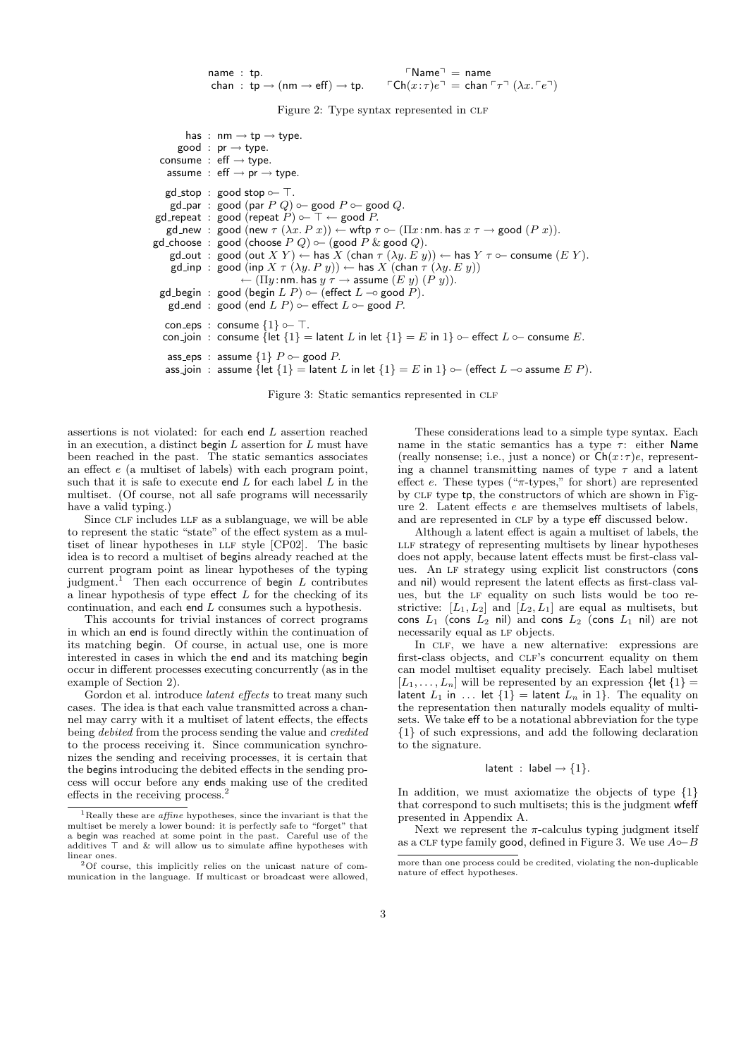```
name : tp. \Box pName \Box = name
chan : tp \rightarrow (nm \rightarrow eff) \rightarrow tp. FCh(x:\tau)e^{\top} = chan \tau \tau^{\top} (\lambda x.\tau e^{\top})
```
Figure 2: Type syntax represented in CLF

```
has : nm \rightarrow tp \rightarrow type.
      good : pr \rightarrow type.
 \frac{1}{2} consume : eff \rightarrow type.
    assume : eff \rightarrow pr \rightarrow type.
   gd_stop : good stop \circ- \top.
    gd_par : good (par P Q) \sim good P \sim good Q.
gd_repeat : good (repeat P) \circ - \top \leftarrow good P.
   gd_new : good (new \tau (\lambda x.Px)) \leftarrow wftp \tau \circ\!\!-(\Pi x \colon n m \colon n n s x \tau \to \text{good } (P x)).gd_choose : good (choose P(Q) \sim (good P & good Q).
    gd_out : good (out X Y) \leftarrow has X (chan \tau (\lambda y. E y)) \leftarrow has Y \tau \circ\!\!- consume (E Y).
     gd_inp \colon good (\mathsf{inp}\ X\ \tau\ (\lambda y.\ P\ y)) \leftarrow has X\ (\mathsf{chan}\ \tau\ (\lambda y.\ E\ y))\leftarrow (\Pi y \!:\! \mathsf{nm} \!\!,\mathsf{has}\; y \mathrel{\tau} \rightarrow \mathsf{assume}\; (E\; y)\; (P\; y)).gd begin : good (begin L P) \sim (effect L \sim good P).
    gd_end : good (end L P) \sim effect L \sim good P.
   con_eps : consume \{1\} \sim \top.
  con join : consume {let {1} = latent L in let {1} = E in 1} \circ – effect L \circ – consume E.
    ass_eps : assume \{1\} P \circ good P.
   ass join : assume {let \{1\} = latent L in let \{1\} = E in 1\} \circ\text{-} (effect L \to assume E P).
```
Figure 3: Static semantics represented in CLF

assertions is not violated: for each end L assertion reached in an execution, a distinct begin  $L$  assertion for  $L$  must have been reached in the past. The static semantics associates an effect e (a multiset of labels) with each program point, such that it is safe to execute end  $L$  for each label  $L$  in the multiset. (Of course, not all safe programs will necessarily have a valid typing.)

Since CLF includes LLF as a sublanguage, we will be able to represent the static "state" of the effect system as a multiset of linear hypotheses in llf style [CP02]. The basic idea is to record a multiset of begins already reached at the current program point as linear hypotheses of the typing judgment.<sup>1</sup> Then each occurrence of begin  $L$  contributes a linear hypothesis of type effect  $L$  for the checking of its continuation, and each end L consumes such a hypothesis.

This accounts for trivial instances of correct programs in which an end is found directly within the continuation of its matching begin. Of course, in actual use, one is more interested in cases in which the end and its matching begin occur in different processes executing concurrently (as in the example of Section 2).

Gordon et al. introduce *latent effects* to treat many such cases. The idea is that each value transmitted across a channel may carry with it a multiset of latent effects, the effects being debited from the process sending the value and credited to the process receiving it. Since communication synchronizes the sending and receiving processes, it is certain that the begins introducing the debited effects in the sending process will occur before any ends making use of the credited effects in the receiving process.<sup>2</sup>

These considerations lead to a simple type syntax. Each name in the static semantics has a type  $\tau$ : either Name (really nonsense; i.e., just a nonce) or  $\mathsf{Ch}(x;\tau)e$ , representing a channel transmitting names of type  $\tau$  and a latent effect e. These types (" $\pi$ -types," for short) are represented by CLF type tp, the constructors of which are shown in Figure 2. Latent effects e are themselves multisets of labels, and are represented in CLF by a type eff discussed below.

Although a latent effect is again a multiset of labels, the llf strategy of representing multisets by linear hypotheses does not apply, because latent effects must be first-class values. An LF strategy using explicit list constructors (cons and nil) would represent the latent effects as first-class values, but the lf equality on such lists would be too restrictive:  $[L_1, L_2]$  and  $[L_2, L_1]$  are equal as multisets, but cons  $L_1$  (cons  $L_2$  nil) and cons  $L_2$  (cons  $L_1$  nil) are not necessarily equal as LF objects.

In CLF, we have a new alternative: expressions are first-class objects, and CLF's concurrent equality on them can model multiset equality precisely. Each label multiset  $[L_1, \ldots, L_n]$  will be represented by an expression  $\{\mathsf{let } \{1\} =$ latent  $L_1$  in ... let  $\{1\}$  = latent  $L_n$  in  $1\}$ . The equality on the representation then naturally models equality of multisets. We take eff to be a notational abbreviation for the type {1} of such expressions, and add the following declaration to the signature.

$$
\mathsf{latent} \, : \, \mathsf{label} \to \{1\}.
$$

In addition, we must axiomatize the objects of type  $\{1\}$ that correspond to such multisets; this is the judgment wfeff presented in Appendix A.

Next we represent the  $\pi$ -calculus typing judgment itself as a CLF type family good, defined in Figure 3. We use  $A \circ B$ 

 ${}^{1}\text{Really these are affine hypotheses, since the invariant is that the}$ multiset be merely a lower bound: it is perfectly safe to "forget" that a begin was reached at some point in the past. Careful use of the additives  $\top$  and  $\&$  will allow us to simulate affine hypotheses with linear ones.

<sup>2</sup>Of course, this implicitly relies on the unicast nature of communication in the language. If multicast or broadcast were allowed,

more than one process could be credited, violating the non-duplicable nature of effect hypotheses.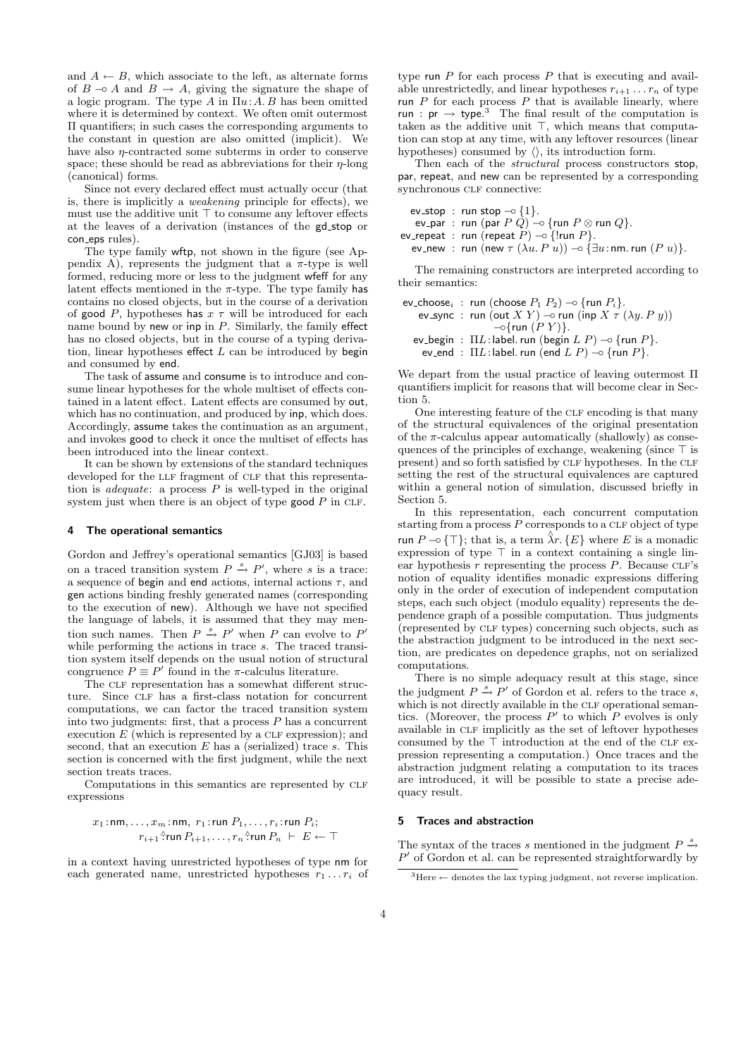and  $A \leftarrow B$ , which associate to the left, as alternate forms of  $B \to A$  and  $B \to A$ , giving the signature the shape of a logic program. The type A in  $\Pi u:A.B$  has been omitted where it is determined by context. We often omit outermost Π quantifiers; in such cases the corresponding arguments to the constant in question are also omitted (implicit). We have also *n*-contracted some subterms in order to conserve space; these should be read as abbreviations for their  $\eta$ -long (canonical) forms.

Since not every declared effect must actually occur (that is, there is implicitly a weakening principle for effects), we must use the additive unit  $\top$  to consume any leftover effects at the leaves of a derivation (instances of the gd stop or con eps rules).

The type family wftp, not shown in the figure (see Appendix A), represents the judgment that a  $\pi$ -type is well formed, reducing more or less to the judgment wfeff for any latent effects mentioned in the  $\pi$ -type. The type family has contains no closed objects, but in the course of a derivation of good P, hypotheses has  $x \tau$  will be introduced for each name bound by new or inp in  $P$ . Similarly, the family effect has no closed objects, but in the course of a typing derivation, linear hypotheses effect  $L$  can be introduced by begin and consumed by end.

The task of assume and consume is to introduce and consume linear hypotheses for the whole multiset of effects contained in a latent effect. Latent effects are consumed by out, which has no continuation, and produced by  $inp$ , which does. Accordingly, assume takes the continuation as an argument, and invokes good to check it once the multiset of effects has been introduced into the linear context.

It can be shown by extensions of the standard techniques developed for the LLF fragment of CLF that this representation is *adequate*: a process  $P$  is well-typed in the original system just when there is an object of type good  $P$  in CLF.

#### 4 The operational semantics

Gordon and Jeffrey's operational semantics [GJ03] is based on a traced transition system  $P \stackrel{s}{\rightarrow} P'$ , where s is a trace: a sequence of begin and end actions, internal actions  $\tau$ , and gen actions binding freshly generated names (corresponding to the execution of new). Although we have not specified the language of labels, it is assumed that they may mention such names. Then  $P \stackrel{s}{\rightarrow} P'$  when P can evolve to  $P'$ while performing the actions in trace s. The traced transition system itself depends on the usual notion of structural congruence  $P \equiv P'$  found in the  $\pi$ -calculus literature.

The CLF representation has a somewhat different structure. Since CLF has a first-class notation for concurrent computations, we can factor the traced transition system into two judgments: first, that a process  $P$  has a concurrent execution  $E$  (which is represented by a CLF expression); and second, that an execution  $E$  has a (serialized) trace  $s$ . This section is concerned with the first judgment, while the next section treats traces.

Computations in this semantics are represented by CLF expressions

$$
x_1:\text{nm},\ldots,x_m:\text{nm},\ r_1:\text{run } P_1,\ldots,r_i:\text{run } P_i;
$$

$$
r_{i+1} \text{?run } P_{i+1},\ldots,r_n \text{?run } P_n \ \vdash \ E \leftarrow \top
$$

in a context having unrestricted hypotheses of type nm for each generated name, unrestricted hypotheses  $r_1 \ldots r_i$  of

type run  $P$  for each process  $P$  that is executing and available unrestrictedly, and linear hypotheses  $r_{i+1} \ldots r_n$  of type run  $P$  for each process  $P$  that is available linearly, where run :  $pr \rightarrow type.^3$  The final result of the computation is taken as the additive unit  $\top$ , which means that computation can stop at any time, with any leftover resources (linear hypotheses) consumed by  $\langle \cdot \rangle$ , its introduction form.

Then each of the *structural* process constructors stop, par, repeat, and new can be represented by a corresponding synchronous CLF connective:

ev\_stop : run stop  $\neg$  {1}. ev\_par : run (par  $P$  Q)  $\multimap$  {run  $P \otimes$  run  $Q$ }. ev\_repeat : run (repeat  $P$ )  $\sim$  {!run  $P$ }. ev\_new : run (new  $\tau(\lambda u.P u)$ )  $\rightarrow \exists u$ :nm.run  $(P u)$ .

The remaining constructors are interpreted according to their semantics:

ev\_choose<sub>i</sub> : run (choose  $P_1$   $P_2$ )  $\sim$  {run  $P_i$ }. ev\_sync : run (out  $XY$ )  $\rightarrow$  run (inp  $X \uparrow (\lambda y \, P \, y)$ )  $\neg$ {run  $(P Y)$ }. ev\_begin :  $\Pi L$ : label. run (begin  $L P$ )  $\multimap$  {run  $P$ }. ev end :  $\Pi L$ : label. run (end  $L P$ ) –☉ {run  $P$  }.

We depart from the usual practice of leaving outermost Π quantifiers implicit for reasons that will become clear in Section 5.

One interesting feature of the CLF encoding is that many of the structural equivalences of the original presentation of the  $\pi$ -calculus appear automatically (shallowly) as consequences of the principles of exchange, weakening (since  $\top$  is present) and so forth satisfied by CLF hypotheses. In the CLF setting the rest of the structural equivalences are captured within a general notion of simulation, discussed briefly in Section 5.

In this representation, each concurrent computation starting from a process  $P$  corresponds to a CLF object of type run  $P \multimap \{\top\}$ ; that is, a term  $\hat{\lambda r}$ .  $\{E\}$  where E is a monadic expression of type  $\top$  in a context containing a single linear hypothesis  $r$  representing the process  $P$ . Because CLF's notion of equality identifies monadic expressions differing only in the order of execution of independent computation steps, each such object (modulo equality) represents the dependence graph of a possible computation. Thus judgments (represented by clf types) concerning such objects, such as the abstraction judgment to be introduced in the next section, are predicates on depedence graphs, not on serialized computations.

There is no simple adequacy result at this stage, since the judgment  $P \stackrel{s}{\rightarrow} P'$  of Gordon et al. refers to the trace s, which is not directly available in the CLF operational semantics. (Moreover, the process  $P'$  to which  $P$  evolves is only available in CLF implicitly as the set of leftover hypotheses consumed by the  $\top$  introduction at the end of the CLF expression representing a computation.) Once traces and the abstraction judgment relating a computation to its traces are introduced, it will be possible to state a precise adequacy result.

### 5 Traces and abstraction

The syntax of the traces s mentioned in the judgment  $P \stackrel{s}{\rightarrow}$  $P'$  of Gordon et al. can be represented straightforwardly by

 ${}^{3}$ Here  $\leftarrow$  denotes the lax typing judgment, not reverse implication.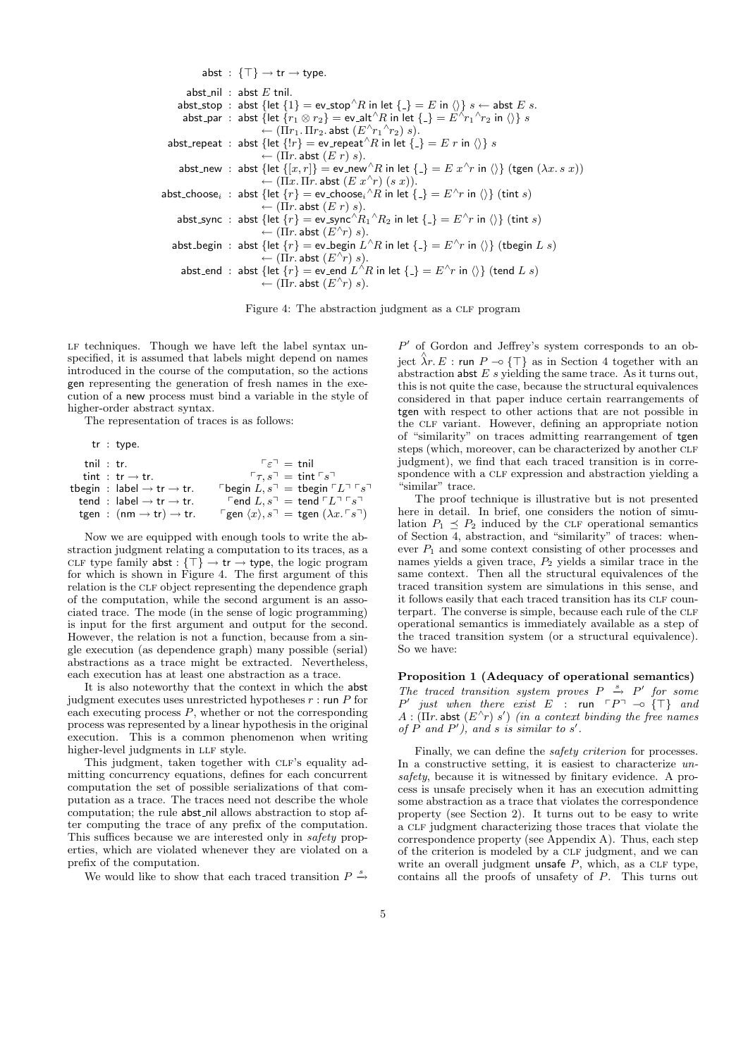abst :  $\{\top\} \rightarrow \text{tr} \rightarrow \text{type}.$ abst nil : abst  $E$  tnil. abst\_stop : abst {let {1} = ev\_stop^R in let {\_} = E in  $\langle$  } s  $\leftarrow$  abst E s. abst\_par  $\,$  : abst  $\{$  let  $\{r_1\otimes r_2\} =$  ev\_alt  $^\wedge R$  in let  $\{\_\}=E^{\wedge}\!r_1\, {}^\wedge r_2$  in  $\langle\rangle\}$   $s$  $\leftarrow (\overline{\Pi}r_1, \overline{\Pi}r_2, \overline{\mathtt{abst}} \ (E^{\wedge}r_1 \wedge r_2) \ s).$ abst\_repeat : abst {let {!r} = ev\_repeat^R in let {\_} = E r in  $\langle$  } s  $\leftarrow (\Pi r \text{. } \mathsf{abst} \ (E \ r) \ s).$ abst\_new : abst  $\{$  let  $\{[x,r]\} =$  ev\_new $^\wedge R$  in let  $\{.\} = E\ x^\wedge r$  in  $\langle\rangle\}$   $(\text{tgen } (\lambda x.\ s\ x))$  $\leftarrow (\Pi x.\Pi r.\text{abst }(E\ x^{\wedge}r)\ (s\ x)).$  $\mathsf{abst\_choose}_i$  :  $\mathsf{abst}\ \{\mathsf{let}\ \{r\} = \mathsf{ev\_choose}_i \land \hat{R} \text{ in } \mathsf{let}\ \{\_\} = E^\wedge r \text{ in } \langle\rangle\} \text{ (tint } s)$  $\leftarrow (\Pi r \text{. } \mathsf{abst} \ (E \ r) \ s).$ abst\_sync : abst {let  $\{r\} = \mathsf{ev\_sync}^{\wedge} R_1 \, {}^{\wedge} R_2$  in let  $\{\_ \} = E^{\wedge} r$  in  $\langle \rangle \}$  (tint  $s$ )  $\leftarrow (\overline{\Pi}r.\overline{\mathsf{abst}}\ (E^{\wedge}r)\ s).$ abst\_begin  $\,$  : abst {let  $\{r\} =$  ev\_begin  $\hat{L}^\wedge R$  in let  $\{\_\} = E^\wedge r$  in  $\langle\rangle\}$  (tbegin  $L$   $s$ )  $\leftarrow (\overline{\Pi}r.\overline{\mathsf{abst}}\ (E^{\wedge}r)\ s).$ abst\_end : abst  $\{$  let  $\{r\} =$  ev\_end  $L^{\wedge}R$  in let  $\{.\} = E^{\wedge}r$  in  $\langle\rangle\}$  (tend  $L$   $s)$  $\leftarrow (\overline{\Pi}r.\overline{\mathsf{abst}}(E^{\wedge}r)\overline{s}).$ 

Figure 4: The abstraction judgment as a CLF program

LF techniques. Though we have left the label syntax unspecified, it is assumed that labels might depend on names introduced in the course of the computation, so the actions gen representing the generation of fresh names in the execution of a new process must bind a variable in the style of higher-order abstract syntax.

The representation of traces is as follows:

tr : type.

| $\text{tril}$ : $\text{tr.}$ |                                                   | $\sqrt{5}$ = tnil                                      |                                                                                           |
|------------------------------|---------------------------------------------------|--------------------------------------------------------|-------------------------------------------------------------------------------------------|
|                              | tint : $tr \rightarrow tr$ .                      | $\lceil \tau, s \rceil = \text{tint } \lceil s \rceil$ |                                                                                           |
|                              | tbegin : label $\rightarrow$ tr $\rightarrow$ tr. |                                                        | Fbegin $L, s^-$ = tbegin $\lceil L \rceil \lceil s \rceil$                                |
|                              | tend : label $\rightarrow$ tr $\rightarrow$ tr.   |                                                        | Fend $L, s^{\mathsf{T}} = \text{tend } \ulcorner L^{\mathsf{T}} \ulcorner s^{\mathsf{T}}$ |
|                              | tgen : $(nm \rightarrow tr) \rightarrow tr$ .     |                                                        | Fgen $\langle x \rangle$ , $s^{\neg}$ = tgen $(\lambda x. \ulcorner s \urcorner)$         |

Now we are equipped with enough tools to write the abstraction judgment relating a computation to its traces, as a CLF type family  $abst : \{\top\} \to \mathsf{tr} \to \mathsf{type}$ , the logic program for which is shown in Figure 4. The first argument of this relation is the CLF object representing the dependence graph of the computation, while the second argument is an associated trace. The mode (in the sense of logic programming) is input for the first argument and output for the second. However, the relation is not a function, because from a single execution (as dependence graph) many possible (serial) abstractions as a trace might be extracted. Nevertheless, each execution has at least one abstraction as a trace.

It is also noteworthy that the context in which the abst judgment executes uses unrestricted hypotheses  $r :$  run  $P$  for each executing process  $P$ , whether or not the corresponding process was represented by a linear hypothesis in the original execution. This is a common phenomenon when writing higher-level judgments in LLF style.

This judgment, taken together with CLF's equality admitting concurrency equations, defines for each concurrent computation the set of possible serializations of that computation as a trace. The traces need not describe the whole computation; the rule abst\_nil allows abstraction to stop after computing the trace of any prefix of the computation. This suffices because we are interested only in safety properties, which are violated whenever they are violated on a prefix of the computation.

We would like to show that each traced transition  $P \xrightarrow{s}$ 

 $P'$  of Gordon and Jeffrey's system corresponds to an object  $\hat{\lambda}r$ . E : run  $P \multimap \{\top\}$  as in Section 4 together with an abstraction abst  $E$  s yielding the same trace. As it turns out, this is not quite the case, because the structural equivalences considered in that paper induce certain rearrangements of tgen with respect to other actions that are not possible in the CLF variant. However, defining an appropriate notion of "similarity" on traces admitting rearrangement of tgen steps (which, moreover, can be characterized by another CLF judgment), we find that each traced transition is in correspondence with a CLF expression and abstraction yielding a "similar" trace.

The proof technique is illustrative but is not presented here in detail. In brief, one considers the notion of simulation  $P_1 \preceq P_2$  induced by the CLF operational semantics of Section 4, abstraction, and "similarity" of traces: whenever  $P_1$  and some context consisting of other processes and names yields a given trace,  $P_2$  yields a similar trace in the same context. Then all the structural equivalences of the traced transition system are simulations in this sense, and it follows easily that each traced transition has its CLF counterpart. The converse is simple, because each rule of the CLF operational semantics is immediately available as a step of the traced transition system (or a structural equivalence). So we have:

#### Proposition 1 (Adequacy of operational semantics)

The traced transition system proves  $P \stackrel{s}{\rightarrow} P'$  for some  $P'$  just when there exist  $E$  : run  $\Gamma P \neg o \{T\}$  and  $A:$  ( $\Pi r$ . abst  $(E^{\wedge}r)$  s') (in a context binding the free names of  $P$  and  $P'$ ), and s is similar to s'.

Finally, we can define the *safety criterion* for processes. In a constructive setting, it is easiest to characterize unsafety, because it is witnessed by finitary evidence. A process is unsafe precisely when it has an execution admitting some abstraction as a trace that violates the correspondence property (see Section 2). It turns out to be easy to write a CLF judgment characterizing those traces that violate the correspondence property (see Appendix A). Thus, each step of the criterion is modeled by a CLF judgment, and we can write an overall judgment unsafe  $P$ , which, as a CLF type, contains all the proofs of unsafety of P. This turns out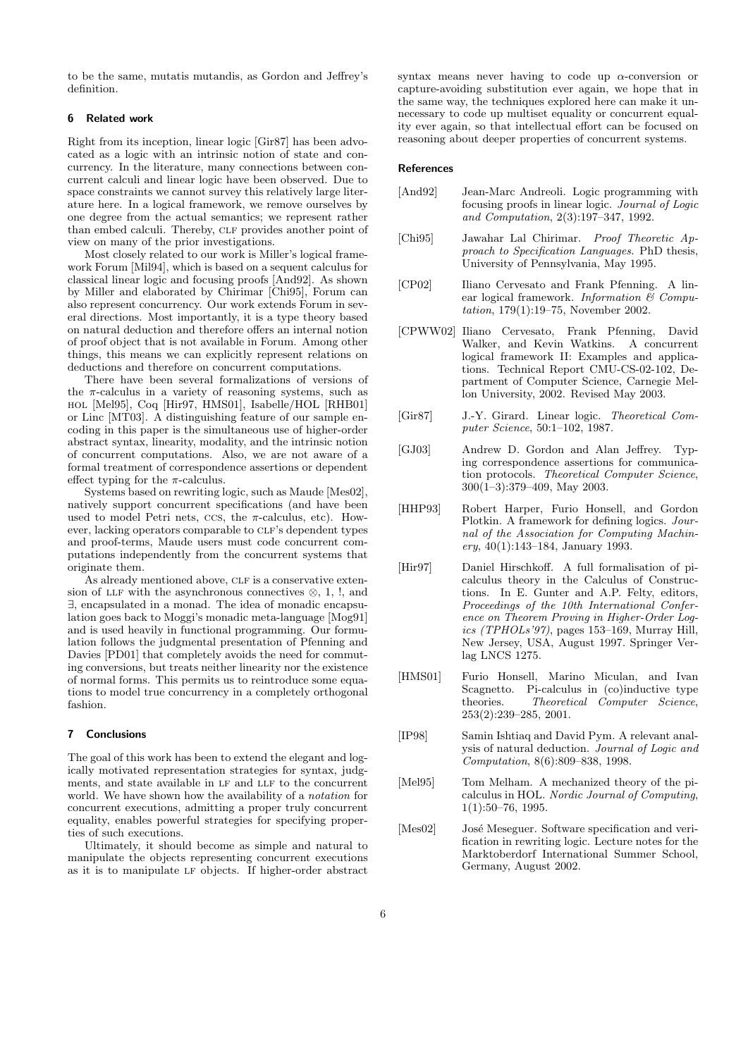to be the same, mutatis mutandis, as Gordon and Jeffrey's definition.

#### 6 Related work

Right from its inception, linear logic [Gir87] has been advocated as a logic with an intrinsic notion of state and concurrency. In the literature, many connections between concurrent calculi and linear logic have been observed. Due to space constraints we cannot survey this relatively large literature here. In a logical framework, we remove ourselves by one degree from the actual semantics; we represent rather than embed calculi. Thereby, CLF provides another point of view on many of the prior investigations.

Most closely related to our work is Miller's logical framework Forum [Mil94], which is based on a sequent calculus for classical linear logic and focusing proofs [And92]. As shown by Miller and elaborated by Chirimar [Chi95], Forum can also represent concurrency. Our work extends Forum in several directions. Most importantly, it is a type theory based on natural deduction and therefore offers an internal notion of proof object that is not available in Forum. Among other things, this means we can explicitly represent relations on deductions and therefore on concurrent computations.

There have been several formalizations of versions of the  $\pi$ -calculus in a variety of reasoning systems, such as hol [Mel95], Coq [Hir97, HMS01], Isabelle/HOL [RHB01] or Linc [MT03]. A distinguishing feature of our sample encoding in this paper is the simultaneous use of higher-order abstract syntax, linearity, modality, and the intrinsic notion of concurrent computations. Also, we are not aware of a formal treatment of correspondence assertions or dependent effect typing for the  $\pi$ -calculus.

Systems based on rewriting logic, such as Maude [Mes02], natively support concurrent specifications (and have been used to model Petri nets, ccs, the  $\pi$ -calculus, etc). However, lacking operators comparable to CLF's dependent types and proof-terms, Maude users must code concurrent computations independently from the concurrent systems that originate them.

As already mentioned above, CLF is a conservative extension of LLF with the asynchronous connectives  $\otimes$ , 1, !, and ∃, encapsulated in a monad. The idea of monadic encapsulation goes back to Moggi's monadic meta-language [Mog91] and is used heavily in functional programming. Our formulation follows the judgmental presentation of Pfenning and Davies [PD01] that completely avoids the need for commuting conversions, but treats neither linearity nor the existence of normal forms. This permits us to reintroduce some equations to model true concurrency in a completely orthogonal fashion.

## 7 Conclusions

The goal of this work has been to extend the elegant and logically motivated representation strategies for syntax, judgments, and state available in LF and LLF to the concurrent world. We have shown how the availability of a notation for concurrent executions, admitting a proper truly concurrent equality, enables powerful strategies for specifying properties of such executions.

Ultimately, it should become as simple and natural to manipulate the objects representing concurrent executions as it is to manipulate lf objects. If higher-order abstract syntax means never having to code up  $\alpha$ -conversion or capture-avoiding substitution ever again, we hope that in the same way, the techniques explored here can make it unnecessary to code up multiset equality or concurrent equality ever again, so that intellectual effort can be focused on reasoning about deeper properties of concurrent systems.

#### **References**

- [And92] Jean-Marc Andreoli. Logic programming with focusing proofs in linear logic. Journal of Logic and Computation, 2(3):197–347, 1992.
- [Chi95] Jawahar Lal Chirimar. Proof Theoretic Approach to Specification Languages. PhD thesis, University of Pennsylvania, May 1995.
- [CP02] Iliano Cervesato and Frank Pfenning. A linear logical framework. Information  $\mathcal C$  Computation, 179(1):19–75, November 2002.
- [CPWW02] Iliano Cervesato, Frank Pfenning, David Walker, and Kevin Watkins. A concurrent logical framework II: Examples and applications. Technical Report CMU-CS-02-102, Department of Computer Science, Carnegie Mellon University, 2002. Revised May 2003.
- [Gir87] J.-Y. Girard. Linear logic. Theoretical Computer Science, 50:1–102, 1987.
- [GJ03] Andrew D. Gordon and Alan Jeffrey. Typing correspondence assertions for communication protocols. Theoretical Computer Science, 300(1–3):379–409, May 2003.
- [HHP93] Robert Harper, Furio Honsell, and Gordon Plotkin. A framework for defining logics. Journal of the Association for Computing Machinery, 40(1):143–184, January 1993.
- [Hir97] Daniel Hirschkoff. A full formalisation of picalculus theory in the Calculus of Constructions. In E. Gunter and A.P. Felty, editors, Proceedings of the 10th International Conference on Theorem Proving in Higher-Order Logics (TPHOLs'97), pages 153–169, Murray Hill, New Jersey, USA, August 1997. Springer Verlag LNCS 1275.
- [HMS01] Furio Honsell, Marino Miculan, and Ivan Scagnetto. Pi-calculus in (co)inductive type theories. Theoretical Computer Science, 253(2):239–285, 2001.
- [IP98] Samin Ishtiaq and David Pym. A relevant analysis of natural deduction. Journal of Logic and Computation, 8(6):809–838, 1998.
- [Mel95] Tom Melham. A mechanized theory of the picalculus in HOL. Nordic Journal of Computing, 1(1):50–76, 1995.
- [Mes02] José Meseguer. Software specification and verification in rewriting logic. Lecture notes for the Marktoberdorf International Summer School, Germany, August 2002.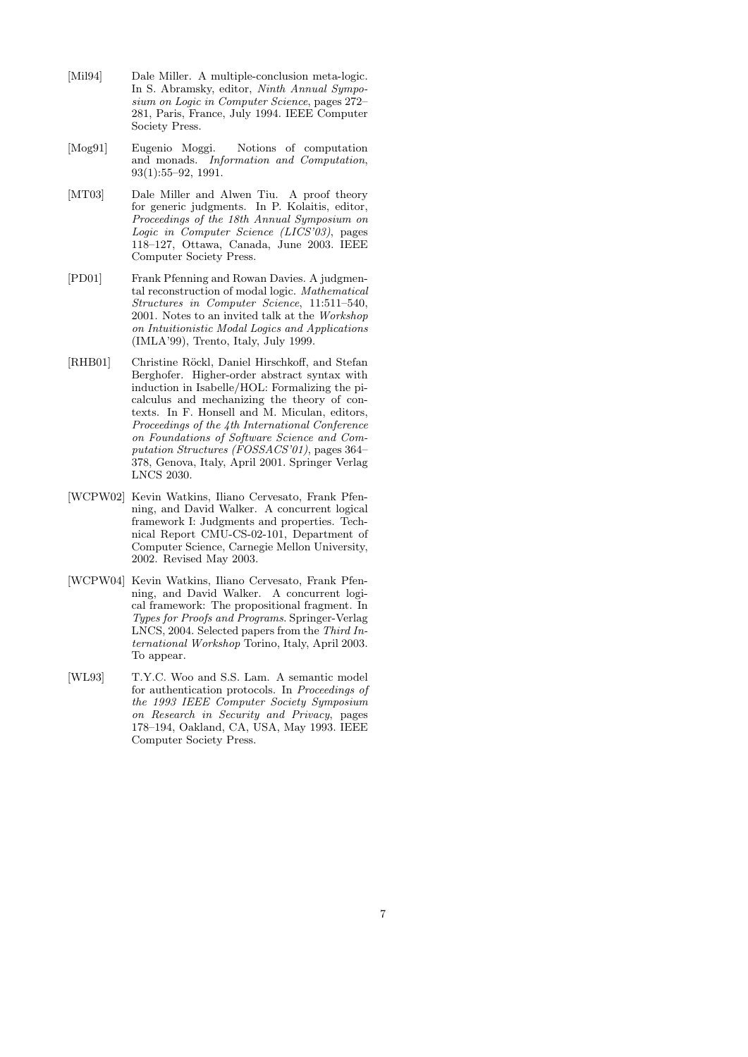- [Mil94] Dale Miller. A multiple-conclusion meta-logic. In S. Abramsky, editor, Ninth Annual Symposium on Logic in Computer Science, pages 272– 281, Paris, France, July 1994. IEEE Computer Society Press.
- [Mog91] Eugenio Moggi. Notions of computation and monads. Information and Computation, 93(1):55–92, 1991.
- [MT03] Dale Miller and Alwen Tiu. A proof theory for generic judgments. In P. Kolaitis, editor, Proceedings of the 18th Annual Symposium on Logic in Computer Science (LICS'03), pages 118–127, Ottawa, Canada, June 2003. IEEE Computer Society Press.
- [PD01] Frank Pfenning and Rowan Davies. A judgmental reconstruction of modal logic. Mathematical Structures in Computer Science, 11:511–540, 2001. Notes to an invited talk at the Workshop on Intuitionistic Modal Logics and Applications (IMLA'99), Trento, Italy, July 1999.
- [RHB01] Christine Röckl, Daniel Hirschkoff, and Stefan Berghofer. Higher-order abstract syntax with induction in Isabelle/HOL: Formalizing the picalculus and mechanizing the theory of contexts. In F. Honsell and M. Miculan, editors, Proceedings of the 4th International Conference on Foundations of Software Science and Computation Structures (FOSSACS'01), pages 364– 378, Genova, Italy, April 2001. Springer Verlag LNCS 2030.
- [WCPW02] Kevin Watkins, Iliano Cervesato, Frank Pfenning, and David Walker. A concurrent logical framework I: Judgments and properties. Technical Report CMU-CS-02-101, Department of Computer Science, Carnegie Mellon University, 2002. Revised May 2003.
- [WCPW04] Kevin Watkins, Iliano Cervesato, Frank Pfenning, and David Walker. A concurrent logical framework: The propositional fragment. In Types for Proofs and Programs. Springer-Verlag LNCS, 2004. Selected papers from the Third International Workshop Torino, Italy, April 2003. To appear.
- [WL93] T.Y.C. Woo and S.S. Lam. A semantic model for authentication protocols. In Proceedings of the 1993 IEEE Computer Society Symposium on Research in Security and Privacy, pages 178–194, Oakland, CA, USA, May 1993. IEEE Computer Society Press.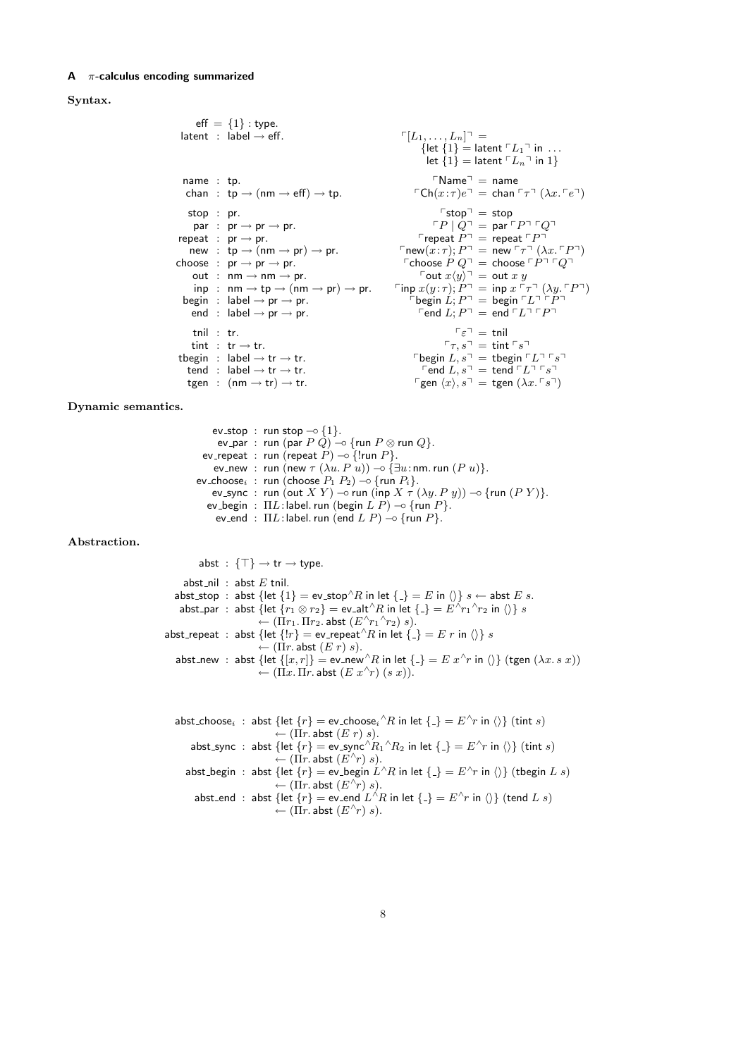# $A$   $\pi$ -calculus encoding summarized

Syntax.

eff = {1} : type. latent : label → eff. p[L1, . . . , Ln]q = {let {1} = latent pL1q in . . . let {1} = latent pLnq in 1} name : tp. pNameq = name chan : tp → (nm → eff) → tp. pCh(x: τ )eq = chan pτq (λx. peq) stop : pr. pstopq = stop par : pr → pr → pr. pP | Qq = par pPq pQq repeat : pr → pr. prepeat Pq = repeat pPq new : tp → (nm → pr) → pr. pnew(x: τ ); Pq = new pτq (λx. pPq) choose : pr → pr → pr. pchoose P Qq = choose pPq pQq out : nm → nm → pr. pout xhyiq = out x y inp : nm → tp → (nm → pr) → pr. pinp x(y : τ ); Pq = inp x pτq (λy. pPq) begin : label → pr → pr. pbegin L; Pq = begin pLq pPq end : label → pr → pr. pend L; Pq = end pLq pPq tnil : tr. pεq = tnil tint : tr → tr. pτ, sq = tint psq tbegin : label → tr → tr. pbegin L, sq = tbegin pLq psq tend : label → tr → tr. pend L, sq = tend pLq psq tgen : (nm → tr) → tr. pgen hxi, sq = tgen (λx. psq)

Dynamic semantics.

```
ev_stop : run stop \neg {1}.
      ev_par \ :\ \textsf{run}\ (\textsf{par}\ P \ Q) \multimap \{\textsf{run}\ P \otimes \textsf{run}\ Q\}.ev_repeat : run (repeat P) \multimap {!run P}.
     ev_new \ :\ \mathsf{run}\ (\mathsf{new}\ \tau\ (\lambda u.\ P\ u))\multimap \{\exists u\ \mathsf{.^{r}un.\ run}\ (P\ u)\}.ev_choose_i: run (choose P_1 P_2) \sim {run P_i}.
    ev_sync : run (out X Y) \multimap run (inp X \tau (\lambda y.\,P y)) \multimap {run (P Y)}.
   ev_begin : \Pi L: label. run (begin L P) \multimap {run P}.
     ev_end : \Pi L: label. run (end L P) \multimap {run P}.
```
## Abstraction.

|  | abst : $\{\top\} \rightarrow \text{tr} \rightarrow \text{type}.$                                                                                                                                                      |
|--|-----------------------------------------------------------------------------------------------------------------------------------------------------------------------------------------------------------------------|
|  | abst_nil: abst $E$ tnil.<br>abst_stop : abst {let {1} = ev_stop^R in let {_} = E in $\langle \rangle$ } s $\leftarrow$ abst E s.                                                                                      |
|  | abst_par : abst {let $\{r_1 \otimes r_2\}$ = ev_alt $\wedge R$ in let $\{\_ \} = E \wedge r_1 \wedge r_2$ in $\langle \rangle \}$ s<br>$\leftarrow (\Pi r_1, \Pi r_2, \text{abst } (E^{\wedge} r_1^{\wedge} r_2) s).$ |
|  | abst_repeat : abst {let {! $r$ } = ev_repeat $\wedge R$ in let {_} = E r in $\wedge$ } s<br>$\leftarrow (\Pi r. \text{abst } (E r) s).$                                                                               |
|  | abst_new : abst {let { $[x, r]$ } = ev_new $\wedge R$ in let { $\Box$ } = E $x \wedge r$ in $\langle \rangle$ } (tgen $(\lambda x. s x)$ )<br>$\leftarrow (\Pi x. \Pi r.$ abst $(E x^{\wedge} r)$ $(s x)$ ).          |

|  | abst_choose <sub>i</sub> : abst {let {r} = ev_choose <sub>i</sub> <sup><math>\wedge</math></sup> R in let {_} = $E^{\wedge}$ r in $\wedge$ } (tint s) |
|--|-------------------------------------------------------------------------------------------------------------------------------------------------------|
|  | $\leftarrow (\Pi r \text{.} \text{abst } (E r) s).$                                                                                                   |
|  | abst_sync: abst {let {r} = ev_sync^R <sub>1</sub> ^R <sub>2</sub> in let {_} = $E^{\wedge}r$ in $\langle\rangle$ } (tint s)                           |
|  | $\leftarrow (\Pi r \text{.} \mathsf{abst} (E \wedge r) s).$                                                                                           |
|  | abst_begin : abst {let $\{r\}$ = ev_begin $L^{\wedge}R$ in let $\{-\} = E^{\wedge}r$ in $\langle\rangle\}$ (tbegin L s)                               |
|  | $\leftarrow (\Pi r.\operatorname{\textsf{abst}}\, (E^\wedge r)\; s).$                                                                                 |
|  | abst_end : abst {let $\{r\}$ = ev_end $L^{\wedge}R$ in let $\{\_ \} = E^{\wedge}r$ in $\langle \rangle \}$ (tend L s)                                 |
|  | $\leftarrow (\Pi r \text{.} \mathsf{abst} (E^{\wedge} r) s).$                                                                                         |
|  |                                                                                                                                                       |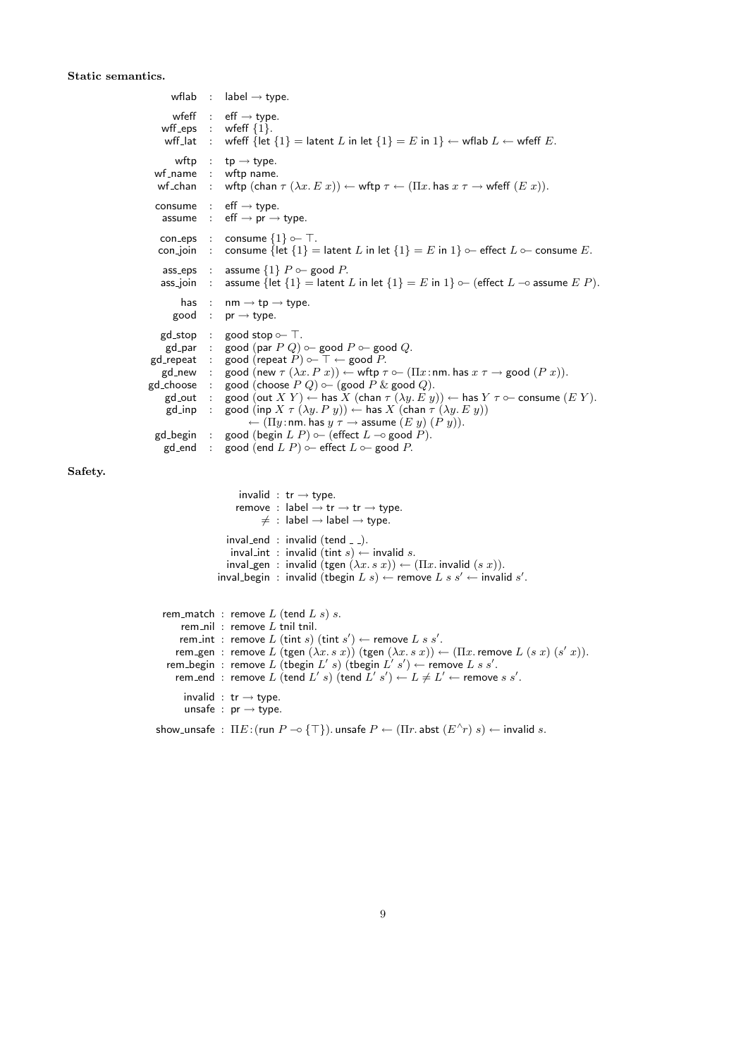Static semantics.

|  | wflab : label $\rightarrow$ type.                                                                                                                                                                                                                                                                                                                                                                                                                                                                                                                                                                                                                                                                                                                                                                                                                                                   |
|--|-------------------------------------------------------------------------------------------------------------------------------------------------------------------------------------------------------------------------------------------------------------------------------------------------------------------------------------------------------------------------------------------------------------------------------------------------------------------------------------------------------------------------------------------------------------------------------------------------------------------------------------------------------------------------------------------------------------------------------------------------------------------------------------------------------------------------------------------------------------------------------------|
|  | wfeff : eff $\rightarrow$ type.<br>wff_eps : wfeff $\{1\}$ .<br>wff_lat : wfeff {let {1} = latent L in let {1} = E in 1} $\leftarrow$ wflab $L \leftarrow$ wfeff E.                                                                                                                                                                                                                                                                                                                                                                                                                                                                                                                                                                                                                                                                                                                 |
|  | wftp : tp $\rightarrow$ type.<br>wf_name : wftp name.<br>wf_chan : wftp $(\text{chan } \tau (\lambda x. E x)) \leftarrow \text{wftp } \tau \leftarrow (\Pi x. \text{ has } x \tau \rightarrow \text{wfeff } (E x)).$                                                                                                                                                                                                                                                                                                                                                                                                                                                                                                                                                                                                                                                                |
|  | consume : eff $\rightarrow$ type.<br>assume : eff $\rightarrow$ pr $\rightarrow$ type.                                                                                                                                                                                                                                                                                                                                                                                                                                                                                                                                                                                                                                                                                                                                                                                              |
|  | con_eps : consume $\{1\} \sim T$ .<br>con_join : consume {let {1} = latent L in let {1} = E in 1} $\sim$ effect L $\sim$ consume E.                                                                                                                                                                                                                                                                                                                                                                                                                                                                                                                                                                                                                                                                                                                                                 |
|  | ass_eps : assume $\{1\}$ P $\sim$ good P.<br>ass_join : assume {let {1} = latent L in let {1} = E in 1} $\circ$ (effect L $\circ$ assume E P).                                                                                                                                                                                                                                                                                                                                                                                                                                                                                                                                                                                                                                                                                                                                      |
|  | has : $nm \rightarrow tp \rightarrow type$ .<br>good : $pr \rightarrow type$ .                                                                                                                                                                                                                                                                                                                                                                                                                                                                                                                                                                                                                                                                                                                                                                                                      |
|  | $gd\_stop$ : good stop $\sim \top$ .<br>gd_par : good (par $P Q$ ) $\sim$ good $P \sim$ good $Q$ .<br>$gd$ -repeat : good (repeat $P$ ) $\sim$ $\top$ $\leftarrow$ good $P$ .<br>gd_new : good (new $\tau(\lambda x.P\ x)) \leftarrow$ wftp $\tau \circ\!\!-(\Pi x \colon n m \colon n n x \colon \tau \to \text{good}(P\ x)).$<br>gd_choose : good (choose $P(Q) \sim ($ good $P \&$ good $Q$ ).<br>gd_out : good (out $X Y$ ) $\leftarrow$ has $X$ (chan $\tau(\lambda y. E y)$ ) $\leftarrow$ has $Y \tau \circ\sim$ consume $(E Y)$ .<br>$gd\$ inp : good (inp $X \tau (\lambda y.P y)) \leftarrow$ has $X$ (chan $\tau (\lambda y.E y))$<br>$\leftarrow (\Pi y : \text{nm} \ldotp \text{has } y \tau \rightarrow \text{assume } (E y) (P y)).$<br>gd_begin : good (begin $L P$ ) $\sim$ (effect $L \sim$ good P).<br>gd_end : good (end $L P$ ) $\sim$ effect $L \sim$ good P. |
|  |                                                                                                                                                                                                                                                                                                                                                                                                                                                                                                                                                                                                                                                                                                                                                                                                                                                                                     |

Safety.

```
invalid : \mathsf{tr} \to \mathsf{type}.remove : label \rightarrow tr \rightarrow tr \rightarrow type.
                            \neq : label \rightarrow label \rightarrow type.
                 inval end : invalid (tend = = ).inval_int : invalid (tint s) \leftarrow invalid s.
                 inval gen : invalid (tgen (\lambda x. s x)) \leftarrow (\Pi x. invalid (s x)).
               inval_begin : invalid (tbegin L s) \leftarrow remove L s s' \leftarrow invalid s'.rem_match : remove L (tend L s) s.
     rem_nil : remove L tnil tnil.
    rem int : remove L (tint s) (tint s') \leftarrow remove L s s'.
   rem_gen \colon remove L (\textsf{tgen}~(\lambda x.\, s\, x)) (\textsf{tgen}~(\lambda x.\, s\, x)) \leftarrow (\Pi x.\, \textsf{remove}~L~(s\;x)\;(s'\;x)).rem begin: remove L (tbegin L's) (tbegin L' s') \leftarrow remove L s s'.
   rem_end : remove L (tend L's) (tend \overline{L}' s') \leftarrow L \neq L' \leftarrow remove s s'.
     invalid : tr \rightarrow type.
     unsafe : pr \rightarrow type.
```

```
show_unsafe \,:\,\Pi E\!:\!({\mathsf{run}}\;P\multimap \{\top\}). unsafe P\leftarrow (\Pi r. abst (E^{\wedge}r)\;s)\leftarrow invalid s.
```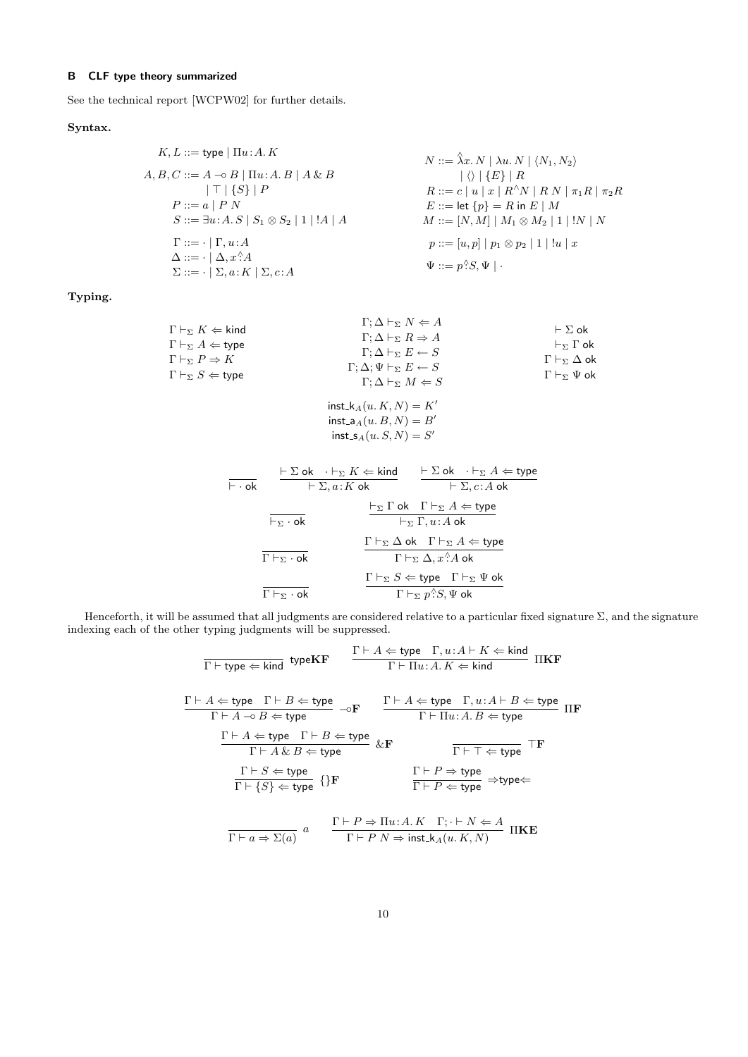# B CLF type theory summarized

See the technical report [WCPW02] for further details.

# Syntax.

| $K, L ::= \text{type} \mid \text{Hu}: A. K$                  | $N ::= \hat{\lambda}x. N \mid \lambda u. N \mid \langle N_1, N_2 \rangle$                          |                                                    |
|--------------------------------------------------------------|----------------------------------------------------------------------------------------------------|----------------------------------------------------|
| $A, B, C ::= A \multimap B \mid \text{Hu}: A. B \mid A \& B$ | $\mid \n \begin{array}{c}\n \langle \rangle \mid \{E\} \mid R \\  \mid \{E\} \mid R\n \end{array}$ |                                                    |
| $P ::= a \mid P \mid N$                                      | $S ::= \exists u: A. S \mid S_1 \otimes S_2 \mid 1 \mid 1A \mid A$                                 | $E ::= \text{let } \{p\} = R \text{ in } E \mid M$ |
| $\Gamma ::= \cdot \mid \Gamma, u: A$                         | $\Delta ::= \cdot \mid \Delta, x \land A$                                                          | $\Psi ::= p \land S, \Psi \mid \cdot \end{array}$  |

# Typing.

| \n $\Gamma \vdash_{\Sigma} K \Leftarrow$ kind\n $\Gamma \vdash_{\Sigma} A \Leftarrow$ type\n $\Gamma \vdash_{\Sigma} P \Rightarrow K$ \n | \n $\Gamma \vdash_{\Sigma} P \Rightarrow K$ \n | \n $\Gamma \vdash_{\Sigma} P \Rightarrow K$ \n | \n $\Gamma \vdash_{\Sigma} E \leftarrow S$ \n | \n $\Gamma \vdash_{\Sigma} S \Leftarrow$ type\n $\Gamma \vdash_{\Sigma} S \leftarrow$ \n | \n $\Gamma \vdash_{\Sigma} A \leftarrow S$ \n | \n $\Gamma \vdash_{\Sigma} A \circ A$ \n | \n $\Gamma \vdash_{\Sigma} A \circ A$ \n | \n $\Gamma \vdash_{\Sigma} A \circ A$ \n | \n $\Gamma \vdash_{\Sigma} A \circ A$ \n |
|------------------------------------------------------------------------------------------------------------------------------------------|------------------------------------------------|------------------------------------------------|-----------------------------------------------|------------------------------------------------------------------------------------------|-----------------------------------------------|------------------------------------------|------------------------------------------|------------------------------------------|------------------------------------------|
| \n $\Gamma \vdash_{\Sigma} S \Leftarrow$ type\n $\Gamma \vdash_{\Sigma} A \circ A$ \n                                                    | \n $\Gamma \vdash_{\Sigma} A \circ A$ \n       |                                                |                                               |                                                                                          |                                               |                                          |                                          |                                          |                                          |

$$
inst\_\mathcal{A}(u, K, N) = K'
$$
  
inst\_a<sub>A</sub>(u, B, N) = B'  
inst\_s<sub>A</sub>(u, S, N) = S'

 $\overline{\phantom{a}}$ 

$$
\frac{\vdash \Sigma \text{ ok } \cdot \vdash_{\Sigma} K \Leftarrow \text{kind}}{\vdash \Sigma, a: K \text{ ok }} \frac{\vdash \Sigma \text{ ok } \cdot \vdash_{\Sigma} A \Leftarrow \text{type}}{\vdash \Sigma, c: A \text{ ok }} \\
\frac{\vdash_{\Sigma} \Gamma \text{ ok } \Gamma \vdash_{\Sigma} A \Leftarrow \text{type}}{\vdash_{\Sigma} \Gamma, u: A \text{ ok }} \\
\frac{\Gamma \vdash_{\Sigma} \Delta \text{ ok } \Gamma \vdash_{\Sigma} A \Leftarrow \text{type}}{\Gamma \vdash_{\Sigma} \Delta, x: A \text{ ok }} \\
\frac{\Gamma \vdash_{\Sigma} \Delta \text{ ok } \Gamma \vdash_{\Sigma} A \Leftarrow \text{type}}{\Gamma \vdash_{\Sigma} \Delta, x: A \text{ ok }} \\
\frac{\Gamma \vdash_{\Sigma} S \Leftarrow \text{type } \Gamma \vdash_{\Sigma} \Psi \text{ ok }}{\Gamma \vdash_{\Sigma} p: S: \Psi \text{ ok }}
$$

Henceforth, it will be assumed that all judgments are considered relative to a particular fixed signature  $\Sigma$ , and the signature indexing each of the other typing judgments will be suppressed.

$$
\frac{\Gamma \vdash A \Leftarrow \text{type} \quad \Gamma, u:A \vdash K \Leftarrow \text{kind}}{\Gamma \vdash \Pi u:A.K \Leftarrow \text{kind}} \text{ IIKF}
$$
\n
$$
\frac{\Gamma \vdash A \Leftarrow \text{type} \quad \Gamma \vdash B \Leftarrow \text{type}}{\Gamma \vdash A \multimap B \Leftarrow \text{type}} \quad \neg \text{F} \qquad \frac{\Gamma \vdash A \Leftarrow \text{type} \quad \Gamma, u:A \vdash B \Leftarrow \text{type}}{\Gamma \vdash \Pi u:A.B \Leftarrow \text{type}} \text{ IIF}
$$
\n
$$
\frac{\Gamma \vdash A \Leftarrow \text{type} \quad \Gamma \vdash B \Leftarrow \text{type}}{\Gamma \vdash A \& B \Leftarrow \text{type}} \& \text{F} \qquad \frac{\Gamma \vdash \Gamma \vdash \text{type}}{\Gamma \vdash \Gamma \Leftarrow \text{type}} \text{ TF}
$$
\n
$$
\frac{\Gamma \vdash S \Leftarrow \text{type}}{\Gamma \vdash \{S\} \Leftarrow \text{type}} \{\} \text{F} \qquad \frac{\Gamma \vdash P \Rightarrow \text{type}}{\Gamma \vdash P \Leftarrow \text{type}} \Rightarrow \text{type} \Leftarrow
$$
\n
$$
\frac{\Gamma \vdash P \Rightarrow \text{true}}{\Gamma \vdash P \Rightarrow \text{true} \Rightarrow \text{type}} \Rightarrow \text{type} \Leftarrow
$$
\n
$$
\frac{\Gamma \vdash P \Rightarrow \text{true} \quad \Gamma \vdash P \Rightarrow \text{true} \quad \Gamma \vdash N \Leftarrow A}{\Gamma \vdash P \vdash P \Rightarrow \text{finite} \quad \Gamma \vdash N \Leftarrow A} \text{ IIKE}
$$